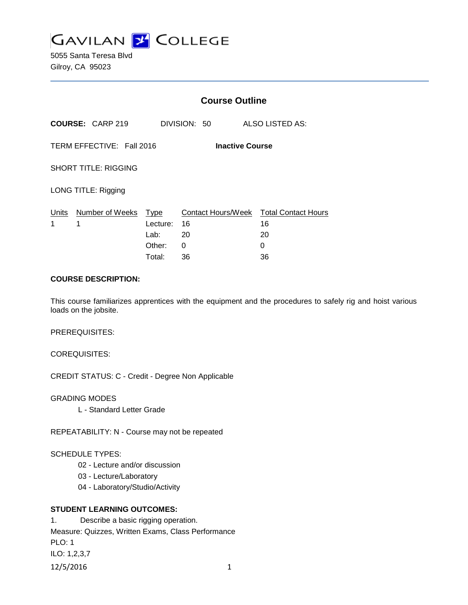

5055 Santa Teresa Blvd Gilroy, CA 95023

|                                                     |                         | <b>Course Outline</b> |              |                                              |
|-----------------------------------------------------|-------------------------|-----------------------|--------------|----------------------------------------------|
|                                                     | <b>COURSE: CARP 219</b> |                       | DIVISION: 50 | ALSO LISTED AS:                              |
| TERM EFFECTIVE: Fall 2016<br><b>Inactive Course</b> |                         |                       |              |                                              |
| <b>SHORT TITLE: RIGGING</b>                         |                         |                       |              |                                              |
| LONG TITLE: Rigging                                 |                         |                       |              |                                              |
| Units<br>1                                          | Number of Weeks<br>1    | Type<br>Lecture:      | 16           | Contact Hours/Week Total Contact Hours<br>16 |
|                                                     |                         | Lab:                  | 20           | 20                                           |
|                                                     |                         | Other:                | 0            | 0                                            |
|                                                     |                         | Total:                | 36           | 36                                           |

## **COURSE DESCRIPTION:**

This course familiarizes apprentices with the equipment and the procedures to safely rig and hoist various loads on the jobsite.

PREREQUISITES:

COREQUISITES:

CREDIT STATUS: C - Credit - Degree Non Applicable

GRADING MODES

L - Standard Letter Grade

REPEATABILITY: N - Course may not be repeated

## SCHEDULE TYPES:

- 02 Lecture and/or discussion
- 03 Lecture/Laboratory
- 04 Laboratory/Studio/Activity

## **STUDENT LEARNING OUTCOMES:**

1. Describe a basic rigging operation. Measure: Quizzes, Written Exams, Class Performance PLO: 1 ILO: 1,2,3,7 12/5/2016 1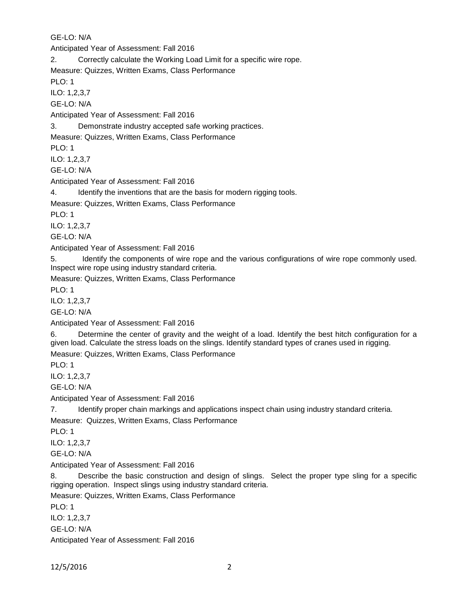GE-LO: N/A Anticipated Year of Assessment: Fall 2016 2. Correctly calculate the Working Load Limit for a specific wire rope. Measure: Quizzes, Written Exams, Class Performance PLO: 1 ILO: 1,2,3,7 GE-LO: N/A Anticipated Year of Assessment: Fall 2016 3. Demonstrate industry accepted safe working practices. Measure: Quizzes, Written Exams, Class Performance PLO: 1 ILO: 1,2,3,7 GE-LO: N/A Anticipated Year of Assessment: Fall 2016 4. Identify the inventions that are the basis for modern rigging tools. Measure: Quizzes, Written Exams, Class Performance PLO: 1 ILO: 1,2,3,7 GE-LO: N/A Anticipated Year of Assessment: Fall 2016 5. Identify the components of wire rope and the various configurations of wire rope commonly used. Inspect wire rope using industry standard criteria. Measure: Quizzes, Written Exams, Class Performance PLO: 1 ILO: 1,2,3,7 GE-LO: N/A Anticipated Year of Assessment: Fall 2016 6. Determine the center of gravity and the weight of a load. Identify the best hitch configuration for a given load. Calculate the stress loads on the slings. Identify standard types of cranes used in rigging. Measure: Quizzes, Written Exams, Class Performance PLO: 1 ILO: 1,2,3,7 GE-LO: N/A Anticipated Year of Assessment: Fall 2016 7. Identify proper chain markings and applications inspect chain using industry standard criteria. Measure: Quizzes, Written Exams, Class Performance PLO: 1 ILO: 1,2,3,7 GE-LO: N/A Anticipated Year of Assessment: Fall 2016 8. Describe the basic construction and design of slings. Select the proper type sling for a specific rigging operation. Inspect slings using industry standard criteria. Measure: Quizzes, Written Exams, Class Performance PLO: 1 ILO: 1,2,3,7 GE-LO: N/A

Anticipated Year of Assessment: Fall 2016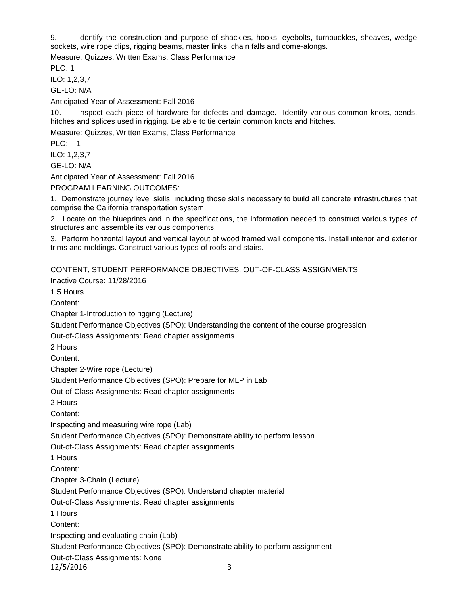9. Identify the construction and purpose of shackles, hooks, eyebolts, turnbuckles, sheaves, wedge sockets, wire rope clips, rigging beams, master links, chain falls and come-alongs.

Measure: Quizzes, Written Exams, Class Performance

PLO: 1

ILO: 1,2,3,7

GE-LO: N/A

Anticipated Year of Assessment: Fall 2016

10. Inspect each piece of hardware for defects and damage. Identify various common knots, bends, hitches and splices used in rigging. Be able to tie certain common knots and hitches.

Measure: Quizzes, Written Exams, Class Performance

PLO: 1

ILO: 1,2,3,7

GE-LO: N/A

Anticipated Year of Assessment: Fall 2016

PROGRAM LEARNING OUTCOMES:

1. Demonstrate journey level skills, including those skills necessary to build all concrete infrastructures that comprise the California transportation system.

2. Locate on the blueprints and in the specifications, the information needed to construct various types of structures and assemble its various components.

3. Perform horizontal layout and vertical layout of wood framed wall components. Install interior and exterior trims and moldings. Construct various types of roofs and stairs.

CONTENT, STUDENT PERFORMANCE OBJECTIVES, OUT-OF-CLASS ASSIGNMENTS

Inactive Course: 11/28/2016

1.5 Hours

Content:

Chapter 1-Introduction to rigging (Lecture)

Student Performance Objectives (SPO): Understanding the content of the course progression

Out-of-Class Assignments: Read chapter assignments

2 Hours

Content:

Chapter 2-Wire rope (Lecture)

Student Performance Objectives (SPO): Prepare for MLP in Lab

Out-of-Class Assignments: Read chapter assignments

2 Hours

Content:

Inspecting and measuring wire rope (Lab)

Student Performance Objectives (SPO): Demonstrate ability to perform lesson

Out-of-Class Assignments: Read chapter assignments

1 Hours

Content:

Chapter 3-Chain (Lecture)

Student Performance Objectives (SPO): Understand chapter material

Out-of-Class Assignments: Read chapter assignments

1 Hours

Content:

Inspecting and evaluating chain (Lab)

Student Performance Objectives (SPO): Demonstrate ability to perform assignment

Out-of-Class Assignments: None

12/5/2016 3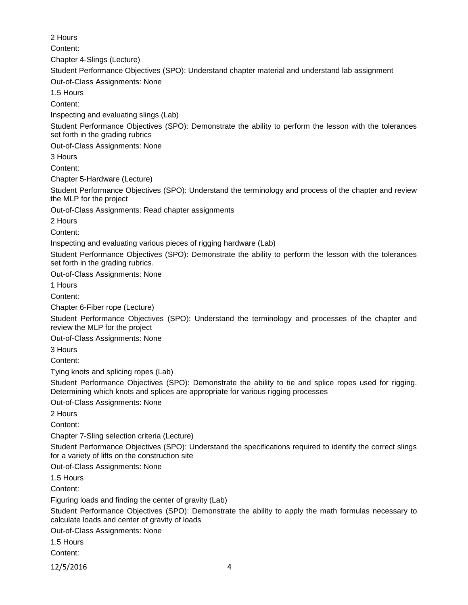2 Hours Content: Chapter 4-Slings (Lecture) Student Performance Objectives (SPO): Understand chapter material and understand lab assignment Out-of-Class Assignments: None 1.5 Hours Content: Inspecting and evaluating slings (Lab) Student Performance Objectives (SPO): Demonstrate the ability to perform the lesson with the tolerances set forth in the grading rubrics Out-of-Class Assignments: None 3 Hours Content: Chapter 5-Hardware (Lecture) Student Performance Objectives (SPO): Understand the terminology and process of the chapter and review the MLP for the project Out-of-Class Assignments: Read chapter assignments 2 Hours Content: Inspecting and evaluating various pieces of rigging hardware (Lab) Student Performance Objectives (SPO): Demonstrate the ability to perform the lesson with the tolerances set forth in the grading rubrics. Out-of-Class Assignments: None 1 Hours Content: Chapter 6-Fiber rope (Lecture) Student Performance Objectives (SPO): Understand the terminology and processes of the chapter and review the MLP for the project Out-of-Class Assignments: None 3 Hours Content: Tying knots and splicing ropes (Lab) Student Performance Objectives (SPO): Demonstrate the ability to tie and splice ropes used for rigging. Determining which knots and splices are appropriate for various rigging processes Out-of-Class Assignments: None 2 Hours Content: Chapter 7-Sling selection criteria (Lecture) Student Performance Objectives (SPO): Understand the specifications required to identify the correct slings for a variety of lifts on the construction site Out-of-Class Assignments: None 1.5 Hours Content: Figuring loads and finding the center of gravity (Lab) Student Performance Objectives (SPO): Demonstrate the ability to apply the math formulas necessary to calculate loads and center of gravity of loads Out-of-Class Assignments: None 1.5 Hours Content:

12/5/2016 4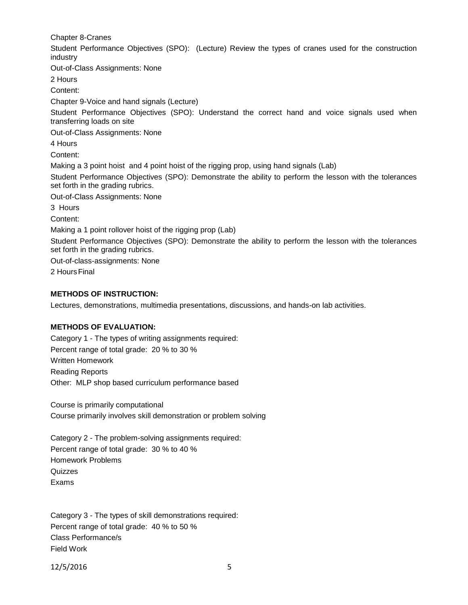Chapter 8-Cranes

Student Performance Objectives (SPO): (Lecture) Review the types of cranes used for the construction industry

Out-of-Class Assignments: None

2 Hours

Content:

Chapter 9-Voice and hand signals (Lecture)

Student Performance Objectives (SPO): Understand the correct hand and voice signals used when transferring loads on site

Out-of-Class Assignments: None

4 Hours

Content:

Making a 3 point hoist and 4 point hoist of the rigging prop, using hand signals (Lab)

Student Performance Objectives (SPO): Demonstrate the ability to perform the lesson with the tolerances set forth in the grading rubrics.

Out-of-Class Assignments: None

3 Hours

Content:

Making a 1 point rollover hoist of the rigging prop (Lab)

Student Performance Objectives (SPO): Demonstrate the ability to perform the lesson with the tolerances set forth in the grading rubrics.

Out-of-class-assignments: None

2 HoursFinal

# **METHODS OF INSTRUCTION:**

Lectures, demonstrations, multimedia presentations, discussions, and hands-on lab activities.

# **METHODS OF EVALUATION:**

Category 1 - The types of writing assignments required: Percent range of total grade: 20 % to 30 % Written Homework Reading Reports Other: MLP shop based curriculum performance based

Course is primarily computational Course primarily involves skill demonstration or problem solving

Category 2 - The problem-solving assignments required: Percent range of total grade: 30 % to 40 % Homework Problems Quizzes Exams

Category 3 - The types of skill demonstrations required: Percent range of total grade: 40 % to 50 % Class Performance/s Field Work

12/5/2016 5